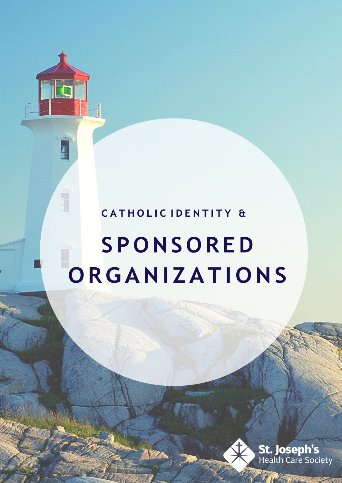# **C A T H O L I C I D E N T I T Y &**

F

F.

# **S P O NS O R ED O RGANI ZAT I O NS**

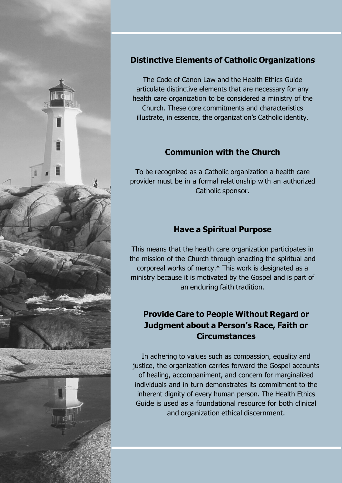

# **Distinctive Elements of Catholic Organizations**

The Code of Canon Law and the Health Ethics Guide articulate distinctive elements that are necessary for any health care organization to be considered a ministry of the Church. These core commitments and characteristics illustrate, in essence, the organization's Catholic identity.

#### **Communion with the Church**

To be recognized as a Catholic organization a health care provider must be in a formal relationship with an authorized Catholic sponsor.

# **Have a Spiritual Purpose**

This means that the health care organization participates in the mission of the Church through enacting the spiritual and corporeal works of mercy.\* This work is designated as a ministry because it is motivated by the Gospel and is part of an enduring faith tradition.

# **Provide Care to People Without Regard or Judgment about a Person's Race, Faith or Circumstances**

In adhering to values such as compassion, equality and justice, the organization carries forward the Gospel accounts of healing, accompaniment, and concern for marginalized individuals and in turn demonstrates its commitment to the inherent dignity of every human person. The Health Ethics Guide is used as a foundational resource for both clinical and organization ethical discernment.